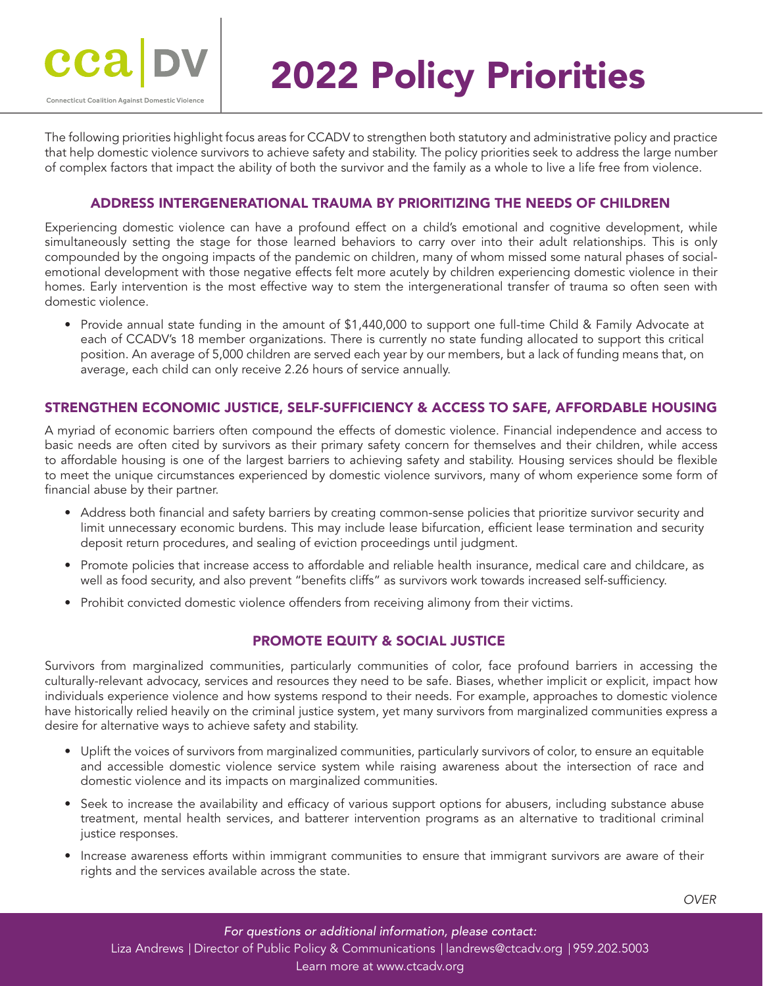

# 2022 Policy Priorities

The following priorities highlight focus areas for CCADV to strengthen both statutory and administrative policy and practice that help domestic violence survivors to achieve safety and stability. The policy priorities seek to address the large number of complex factors that impact the ability of both the survivor and the family as a whole to live a life free from violence.

#### ADDRESS INTERGENERATIONAL TRAUMA BY PRIORITIZING THE NEEDS OF CHILDREN

Experiencing domestic violence can have a profound effect on a child's emotional and cognitive development, while simultaneously setting the stage for those learned behaviors to carry over into their adult relationships. This is only compounded by the ongoing impacts of the pandemic on children, many of whom missed some natural phases of socialemotional development with those negative effects felt more acutely by children experiencing domestic violence in their homes. Early intervention is the most effective way to stem the intergenerational transfer of trauma so often seen with domestic violence.

• Provide annual state funding in the amount of \$1,440,000 to support one full-time Child & Family Advocate at each of CCADV's 18 member organizations. There is currently no state funding allocated to support this critical position. An average of 5,000 children are served each year by our members, but a lack of funding means that, on average, each child can only receive 2.26 hours of service annually.

#### STRENGTHEN ECONOMIC JUSTICE, SELF-SUFFICIENCY & ACCESS TO SAFE, AFFORDABLE HOUSING

A myriad of economic barriers often compound the effects of domestic violence. Financial independence and access to basic needs are often cited by survivors as their primary safety concern for themselves and their children, while access to affordable housing is one of the largest barriers to achieving safety and stability. Housing services should be flexible to meet the unique circumstances experienced by domestic violence survivors, many of whom experience some form of financial abuse by their partner.

- Address both financial and safety barriers by creating common-sense policies that prioritize survivor security and limit unnecessary economic burdens. This may include lease bifurcation, efficient lease termination and security deposit return procedures, and sealing of eviction proceedings until judgment.
- Promote policies that increase access to affordable and reliable health insurance, medical care and childcare, as well as food security, and also prevent "benefits cliffs" as survivors work towards increased self-sufficiency.
- Prohibit convicted domestic violence offenders from receiving alimony from their victims.

#### PROMOTE EQUITY & SOCIAL JUSTICE

Survivors from marginalized communities, particularly communities of color, face profound barriers in accessing the culturally-relevant advocacy, services and resources they need to be safe. Biases, whether implicit or explicit, impact how individuals experience violence and how systems respond to their needs. For example, approaches to domestic violence have historically relied heavily on the criminal justice system, yet many survivors from marginalized communities express a desire for alternative ways to achieve safety and stability.

- Uplift the voices of survivors from marginalized communities, particularly survivors of color, to ensure an equitable and accessible domestic violence service system while raising awareness about the intersection of race and domestic violence and its impacts on marginalized communities.
- Seek to increase the availability and efficacy of various support options for abusers, including substance abuse treatment, mental health services, and batterer intervention programs as an alternative to traditional criminal justice responses.
- Increase awareness efforts within immigrant communities to ensure that immigrant survivors are aware of their rights and the services available across the state.